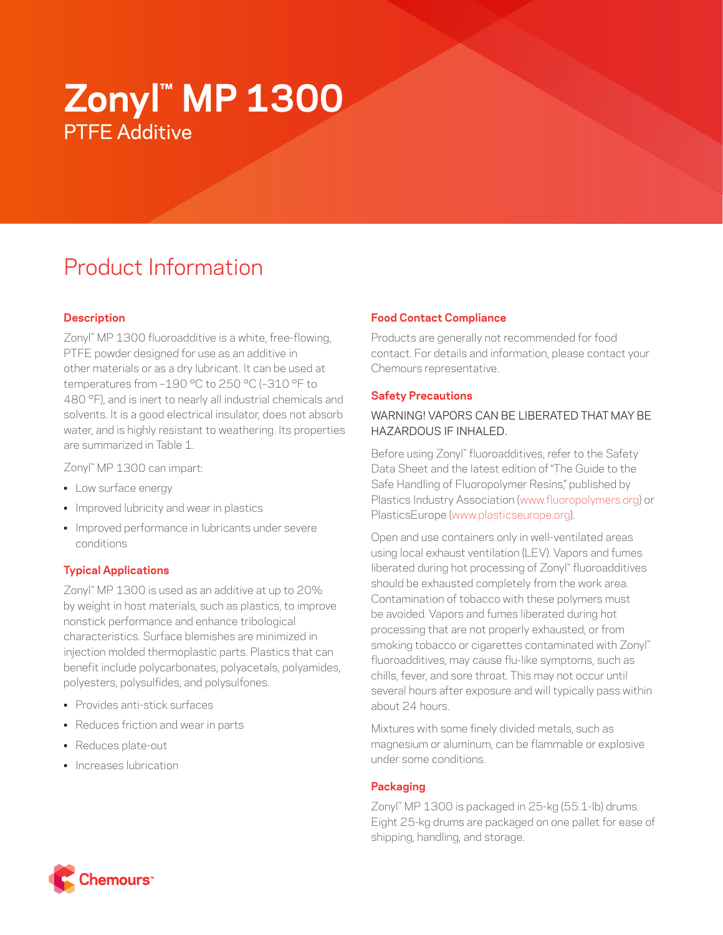# **Zonyl™ MP 1300** PTFE Additive

# Product Information

## **Description**

Zonyl™ MP 1300 fluoroadditive is a white, free-flowing, PTFE powder designed for use as an additive in other materials or as a dry lubricant. It can be used at temperatures from –190 °C to 250 °C (–310 °F to 480 °F), and is inert to nearly all industrial chemicals and solvents. It is a good electrical insulator, does not absorb water, and is highly resistant to weathering. Its properties are summarized in Table 1.

Zonyl™ MP 1300 can impart:

- Low surface energy
- Improved lubricity and wear in plastics
- Improved performance in lubricants under severe conditions

#### **Typical Applications**

Zonyl™ MP 1300 is used as an additive at up to 20% by weight in host materials, such as plastics, to improve nonstick performance and enhance tribological characteristics. Surface blemishes are minimized in injection molded thermoplastic parts. Plastics that can benefit include polycarbonates, polyacetals, polyamides, polyesters, polysulfides, and polysulfones.

- Provides anti-stick surfaces
- Reduces friction and wear in parts
- Reduces plate-out
- Increases lubrication

## **Food Contact Compliance**

Products are generally not recommended for food contact. For details and information, please contact your Chemours representative.

#### **Safety Precautions**

## WARNING! VAPORS CAN BE LIBERATED THAT MAY BE HAZARDOUS IF INHALED.

Before using Zonyl™ fluoroadditives, refer to the Safety Data Sheet and the latest edition of "The Guide to the Safe Handling of Fluoropolymer Resins," published by Plastics Industry Association [\(www.fluoropolymers.org](http://www.fluoropolymers.org)) or PlasticsEurope ([www.plasticseurope.org](http://www.plasticseurope.org)).

Open and use containers only in well-ventilated areas using local exhaust ventilation (LEV). Vapors and fumes liberated during hot processing of Zonyl™ fluoroadditives should be exhausted completely from the work area. Contamination of tobacco with these polymers must be avoided. Vapors and fumes liberated during hot processing that are not properly exhausted, or from smoking tobacco or cigarettes contaminated with Zonyl™ fluoroadditives, may cause flu-like symptoms, such as chills, fever, and sore throat. This may not occur until several hours after exposure and will typically pass within about 24 hours.

Mixtures with some finely divided metals, such as magnesium or aluminum, can be flammable or explosive under some conditions.

#### **Packaging**

Zonyl™ MP 1300 is packaged in 25-kg (55.1-lb) drums. Eight 25-kg drums are packaged on one pallet for ease of shipping, handling, and storage.